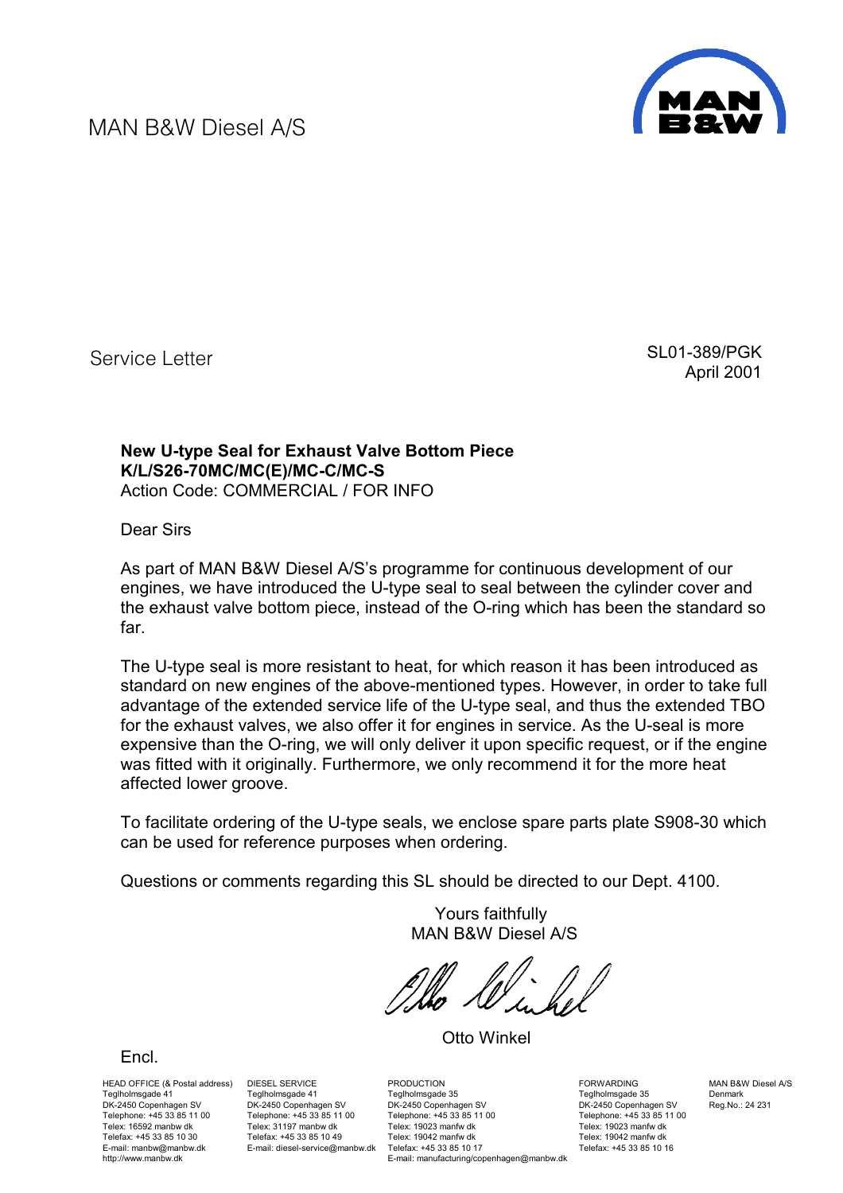MAN B&W Diesel A/S



Service Letter

 SL01-389/PGK April 2001

## **New U-type Seal for Exhaust Valve Bottom Piece K/L/S26-70MC/MC(E)/MC-C/MC-S**  Action Code: COMMERCIAL / FOR INFO

Dear Sirs

As part of MAN B&W Diesel A/S's programme for continuous development of our engines, we have introduced the U-type seal to seal between the cylinder cover and the exhaust valve bottom piece, instead of the O-ring which has been the standard so far.

The U-type seal is more resistant to heat, for which reason it has been introduced as standard on new engines of the above-mentioned types. However, in order to take full advantage of the extended service life of the U-type seal, and thus the extended TBO for the exhaust valves, we also offer it for engines in service. As the U-seal is more expensive than the O-ring, we will only deliver it upon specific request, or if the engine was fitted with it originally. Furthermore, we only recommend it for the more heat affected lower groove.

To facilitate ordering of the U-type seals, we enclose spare parts plate S908-30 which can be used for reference purposes when ordering.

Questions or comments regarding this SL should be directed to our Dept. 4100.

 Yours faithfully MAN B&W Diesel A/S

Otto Winkel

HEAD OFFICE (& Postal address) DIESEL SERVICE Teglholmsgade 41 DK-2450 Copenhagen SV Telephone: +45 33 85 11 00 Telex: 16592 manbw dk Telefax: +45 33 85 10 30 E-mail: manbw@manbw.dk http://www.manbw.dk

[Encl.](#page-1-0) 

Teglholmsgade 41 DK-2450 Copenhagen SV Telephone: +45 33 85 11 00 Telex: 31197 manbw dk Telefax: +45 33 85 10 49 E-mail: diesel-service@manbw.dk

**PRODUCTION** Teglholmsgade 35 DK-2450 Copenhagen SV Telephone: +45 33 85 11 00 Telex: 19023 manfw dk Telex: 19042 manfw dk Telefax: +45 33 85 10 17 E-mail: manufacturing/copenhagen@manbw.dk

FORWARDING Teglholmsgade 35 DK-2450 Copenhagen SV Telephone: +45 33 85 11 00 Telex: 19023 manfw dk Telex: 19042 manfw dk Telefax: +45 33 85 10 16

MAN B&W Diesel A/S Denmark Reg.No.: 24 231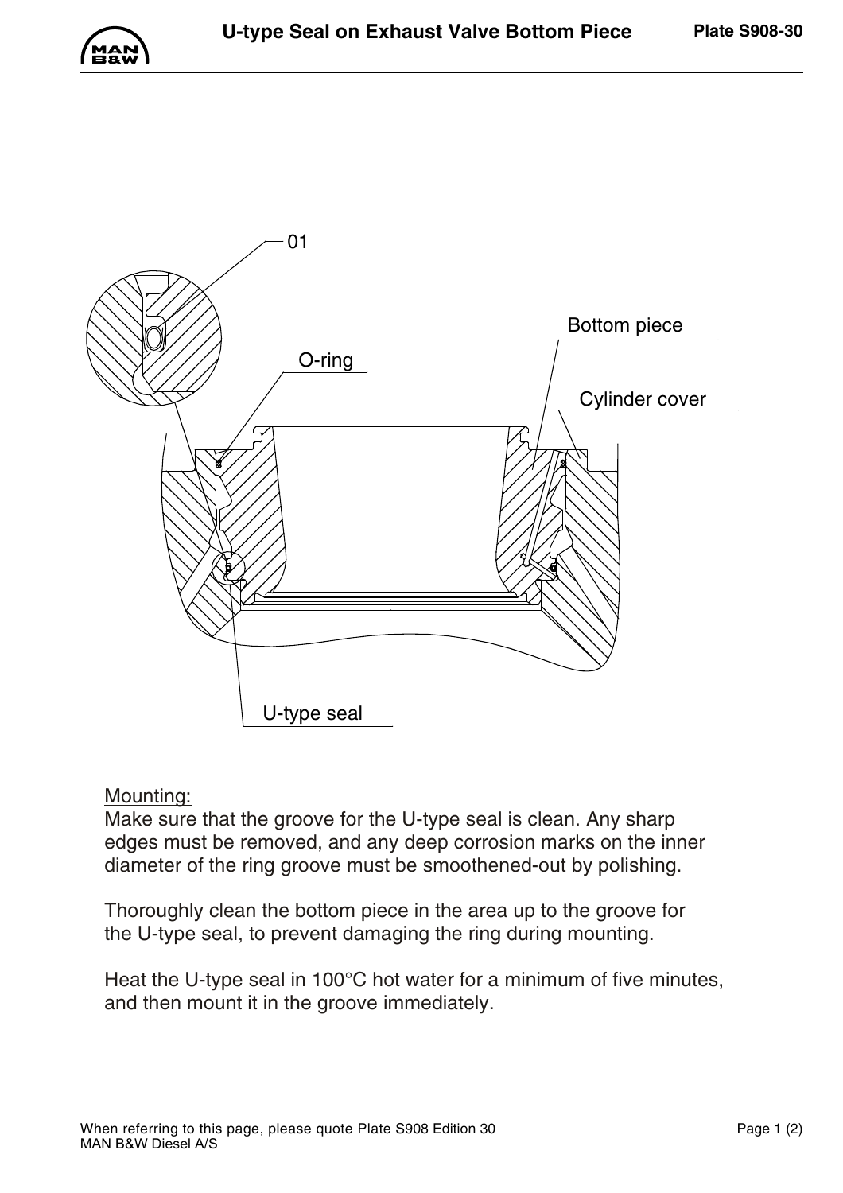<span id="page-1-0"></span>



## Mounting:

Make sure that the groove for the U-type seal is clean. Any sharp edges must be removed, and any deep corrosion marks on the inner diameter of the ring groove must be smoothened-out by polishing.

Thoroughly clean the bottom piece in the area up to the groove for the U-type seal, to prevent damaging the ring during mounting.

Heat the U-type seal in 100°C hot water for a minimum of five minutes, and then mount it in the groove immediately.